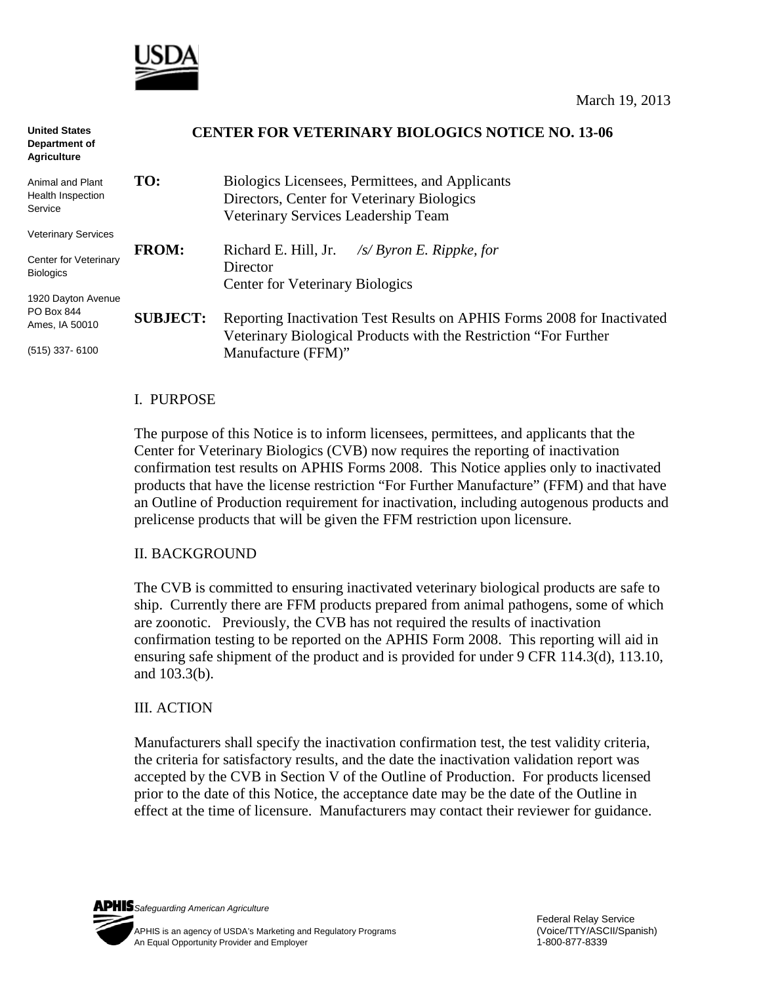

| <b>United States</b><br>Department of<br><b>Agriculture</b> |                 | <b>CENTER FOR VETERINARY BIOLOGICS NOTICE NO. 13-06</b>                                                                                      |
|-------------------------------------------------------------|-----------------|----------------------------------------------------------------------------------------------------------------------------------------------|
| Animal and Plant<br>Health Inspection<br>Service            | TO:             | Biologics Licensees, Permittees, and Applicants<br>Directors, Center for Veterinary Biologics<br>Veterinary Services Leadership Team         |
| <b>Veterinary Services</b>                                  |                 |                                                                                                                                              |
| <b>Center for Veterinary</b><br><b>Biologics</b>            | <b>FROM:</b>    | Richard E. Hill, Jr.<br>$\sqrt{s}$ Byron E. Rippke, for<br>Director<br><b>Center for Veterinary Biologics</b>                                |
| 1920 Dayton Avenue                                          |                 |                                                                                                                                              |
| PO Box 844<br>Ames, IA 50010                                | <b>SUBJECT:</b> | Reporting Inactivation Test Results on APHIS Forms 2008 for Inactivated<br>Veterinary Biological Products with the Restriction "For Further" |
| $(515)$ 337-6100                                            |                 | Manufacture (FFM)"                                                                                                                           |

### I. PURPOSE

The purpose of this Notice is to inform licensees, permittees, and applicants that the Center for Veterinary Biologics (CVB) now requires the reporting of inactivation confirmation test results on APHIS Forms 2008. This Notice applies only to inactivated products that have the license restriction "For Further Manufacture" (FFM) and that have an Outline of Production requirement for inactivation, including autogenous products and prelicense products that will be given the FFM restriction upon licensure.

#### II. BACKGROUND

The CVB is committed to ensuring inactivated veterinary biological products are safe to ship. Currently there are FFM products prepared from animal pathogens, some of which are zoonotic. Previously, the CVB has not required the results of inactivation confirmation testing to be reported on the APHIS Form 2008. This reporting will aid in ensuring safe shipment of the product and is provided for under 9 CFR 114.3(d), 113.10, and 103.3(b).

### III. ACTION

Manufacturers shall specify the inactivation confirmation test, the test validity criteria, the criteria for satisfactory results, and the date the inactivation validation report was accepted by the CVB in Section V of the Outline of Production. For products licensed prior to the date of this Notice, the acceptance date may be the date of the Outline in effect at the time of licensure. Manufacturers may contact their reviewer for guidance.

*Safeguarding American Agriculture*